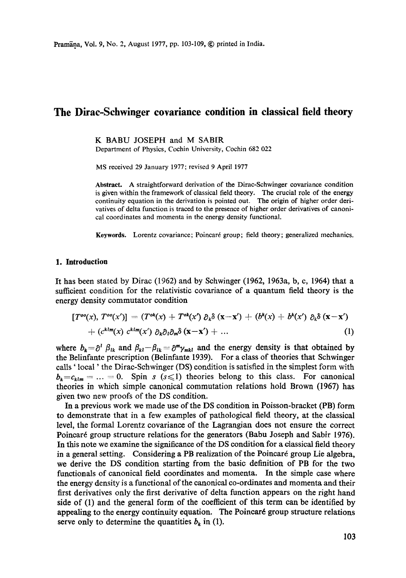# **The Dirac-Schwinger covariance condition in classical field theory**

K BABU JOSEPH and M SABIR

Department of Physics, Cochin University, Cochin 682 022

MS received 29 January 1977; revised 9 April 1977

**Abstract.** A straightforward derivation of the Dirac-Schwinger covariance condition is given within the framework of classical field theory. The crucial role of the energy continuity equation in the derivation is pointed out. The origin of higher order derivatives of delta function is traced to the presence of higher order derivatives of canonical coordinates and momenta in the energy density functional.

**Keywords.** Lorentz covariance; Poincar6 group; field theory; generalized mechanics.

### **1. Introduction**

It has been stated by Dirac (1962) and by Schwinger (1962, 1963a, b, c, 1964) that a sufficient condition for the relativistic covariance of a quantum field theory is the energy density commutator condition

$$
[T^{oo}(x), T^{oo}(x')] = (T^{ob}(x) + T^{ob}(x') \partial_k \delta(x-x') + (b^k(x) + b^k(x') \partial_k \delta(x-x')+ (c^{klm}(x) c^{klm}(x') \partial_k \partial_l \partial_m \delta(x-x') + ... \qquad (1)
$$

where  $b_k = \partial^l \beta_{lk}$  and  $\beta_{kl} - \beta_{lk} = \partial^m \gamma_{mkl}$  and the energy density is that obtained by the Belinfante prescription (Belinfante 1939). For a class of theories that Schwinger calls ' local' the Dirac-Schwinger (DS) condition is satisfied in the simplest form with  $b_k = c_{klm} = ... = 0$ . Spin s (s (s ) theories belong to this class. For canonical theories in which simple canonical commutation relations hold Brown (1967) has given two new proofs of the DS condition.

In a previous work we made use of the DS condition in Poisson-bracket (PB) form to demonstrate that in a few examples of pathological field theory, at the classical level, the formal Lorentz covarianee of the Lagrangiau does not ensure the correct Poincar6 group structure relations for the generators (Babu Joseph and Sabir 1976). In this note we examine the significance of the DS condition for a classical field theory in a general setting. Considering a PB realization of the Poincaré group Lie algebra, we derive the DS condition starting from the basic definition of PB for the two functionals of canonical field coordinates and momenta. In the simple case where the energy density is a functional of the canonical co-ordinates and momenta and their first derivatives only the first derivative of delta function appears on the right hand side of (1) and the general form of the coefficient of this term can be identified by appealing to the energy continuity equation. The Poincaré group structure relations serve only to determine the quantities  $b_k$  in (1).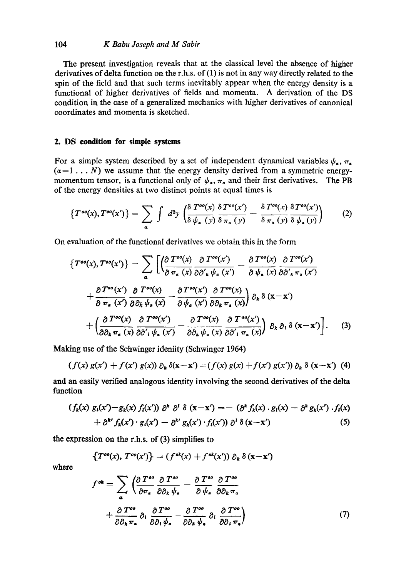# *104 K Babu Joseph and M Sabir*

**The** present investigation reveals that at the classical level the absence of higher derivatives of delta function on the r.h.s, of (1) is not in any way directly related to the spin of the field and that such terms inevitably appear when the energy density is a functional of higher derivatives of fields and momenta. A derivation of the DS condition in the case of a generalized mechanics with higher derivatives of canonical coordinates and momenta is sketched.

# **2. DS condition for simple systems**

For a simple system described by a set of independent dynamical variables  $\psi_{\alpha}$ ,  $\pi_{\alpha}$  $(a=1... N)$  we assume that the energy density derived from a symmetric energymomentum tensor, is a functional only of  $\psi_{\alpha}$ ,  $\pi_{\alpha}$  and their first derivatives. The PB of the energy densities at two distinct points at equal times is

$$
\left\{T^{oo}(x), T^{oo}(x')\right\} = \sum_{\alpha} \int d^3y \left( \frac{\delta T^{oo}(x)}{\delta \psi_{a}(y)} \frac{\delta T^{oo}(x')}{\delta \pi_{a}(y)} - \frac{\delta T^{oo}(x)}{\delta \pi_{a}(y)} \frac{\delta T^{oo}(x')}{\delta \psi_{a}(y)} \right) \tag{2}
$$

On evaluation of the functional derivatives we obtain this in the form

$$
\left\{T^{oo}(x), T^{oo}(x')\right\} = \sum_{\alpha} \left[ \left( \frac{\partial T^{oo}(x)}{\partial \pi_{a}(x)} \frac{\partial T^{oo}(x')}{\partial \partial'_{k} \psi_{a}(x')} - \frac{\partial T^{oo}(x)}{\partial \psi_{a}(x)} \frac{\partial T^{oo}(x')}{\partial \partial'_{k} \pi_{a}(x')} \right. \\ \left. + \frac{\partial T^{oo}(x')}{\partial \pi_{a}(x)} \frac{\partial T^{oo}(x)}{\partial \partial_{k} \psi_{a}(x)} - \frac{\partial T^{oo}(x')}{\partial \psi_{a}(x')} \frac{\partial T^{oo}(x)}{\partial \partial_{k} \pi_{a}(x)} \right] \partial_{k} \delta(x-x') \\ \left. + \left( \frac{\partial T^{oo}(x)}{\partial \partial_{k} \pi_{a}(x)} \frac{\partial T^{oo}(x')}{\partial \partial'_{l} \psi_{a}(x')} - \frac{\partial T^{oo}(x)}{\partial \partial_{k} \psi_{a}(x)} \frac{\partial T^{oo}(x')}{\partial \partial'_{l} \pi_{a}(x)} \right) \partial_{k} \partial_{l} \delta(x-x') \right]. \tag{3}
$$

Making use of the Schwinger ideniity (Schwinger 1964)

$$
(f(x) g(x') + f(x') g(x)) \partial_k \delta(x-x') = (f(x) g(x) + f(x') g(x')) \partial_k \delta(x-x')
$$
 (4)

and an easily verified analogous identity involving the second derivatives of the delta function

$$
(f_k(x) g_l(x') - g_k(x) f_l(x')) \partial^k \partial^l \delta (x-x') = - (\partial^k f_k(x) \cdot g_l(x) - \partial^k g_k(x') \cdot f_l(x) + \partial^{k'} f_k(x') \cdot g_l(x') - \partial^{k'} g_k(x') \cdot f_l(x')) \partial^l \delta (x-x')
$$
(5)

the expression on the r.h.s, of (3) simplifies to

$$
\{T^{oo}(x), T^{oo}(x')\} = (f^{ok}(x) + f^{ok}(x')) \partial_k \delta(x-x')
$$

**where** 

$$
f^{ok} = \sum_{a} \left( \frac{\partial T^{oo}}{\partial \pi_a} \frac{\partial T^{oo}}{\partial \partial_k \psi_a} - \frac{\partial T^{oo}}{\partial \psi_a} \frac{\partial T^{oo}}{\partial \partial_k \pi_a} + \frac{\partial T^{oo}}{\partial \partial_k \pi_a} \partial_l \frac{\partial T^{oo}}{\partial \partial_l \psi_a} - \frac{\partial T^{oo}}{\partial \partial_k \psi_a} \partial_l \frac{\partial T^{oo}}{\partial \partial_l \pi_a} \right)
$$
(7)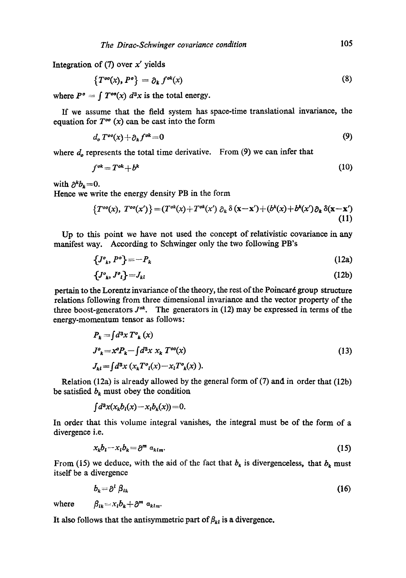Integration of  $(7)$  over x' yields

$$
\{T^{oo}(x), P^o\} = \partial_k f^{ob}(x) \tag{8}
$$

where  $P^{\circ} = \int T^{\circ \circ}(x) d^3x$  is the total energy.

If we assume that the field system has space-time translational invaxiance, the equation for  $T^{\infty}(x)$  can be cast into the form

$$
d_o T^{oo}(x) + \partial_k f^{ok} = 0 \tag{9}
$$

where  $d_0$  represents the total time derivative. From  $(9)$  we can infer that

$$
f^{ok} = T^{ok} + b^k \tag{10}
$$

with  $\partial^k b_k = 0$ .

Hence we write the energy density PB in the form

$$
\left\{T^{oo}(x),\ T^{oo}(x')\right\} = \left(T^{ok}(x) + T^{ok}(x')\ \partial_k\ \delta\left(\mathbf{x} - \mathbf{x}'\right) + \left(b^k(x) + b^k(x')\,\partial_k\ \delta(\mathbf{x} - \mathbf{x}')\right)\right.\tag{11}
$$

Up to this point we have not used the concept of relativistic covariance in any manifest way. According to Schwinger only the two following PB's

$$
\{J^o_k, P^o\} = -P_k \tag{12a}
$$

$$
\{J^o_k, J^o_l\} = J_{kl} \tag{12b}
$$

pertain to the Lorentz invariance of the theory, the rest of the Poincar6 group structure relations following from three dimensional invariance and the vector property of the three boost-generators  $J^{\circ k}$ . The generators in (12) may be expressed in terms of the energy-momentum tensor as follows:

$$
P_k = \int d^3x \, T^o{}_k(x)
$$
  
\n
$$
J^o{}_k = x^o P_k - \int d^3x \, x_k \, T^{oo}(x)
$$
  
\n
$$
J_{kl} = \int d^3x \, (x_k T^o{}_l(x) - x_l T^o{}_k(x)).
$$
\n(13)

Relation (12a) is already allowed by the general form of (7) and in order that (12b) be satisfied  $b_k$  must obey the condition

$$
\int d^3x(x_k b_l(x)-x_l b_k(x))=0.
$$

In order that this volume integral vanishes, the integral must be of the form of a divergence i.e.

$$
x_k b_l - x_l b_k = \partial^m a_{klm}.\tag{15}
$$

From (15) we deduce, with the aid of the fact that  $b<sub>k</sub>$  is divergenceless, that  $b<sub>k</sub>$  must itself be a divergence

$$
b_k = \partial^l \beta_{lk} \tag{16}
$$

where  $\beta_{ik} = x_i b_k + \partial^m a_{klm}$ .

It also follows that the antisymmetric part of  $\beta_{kl}$  is a divergence.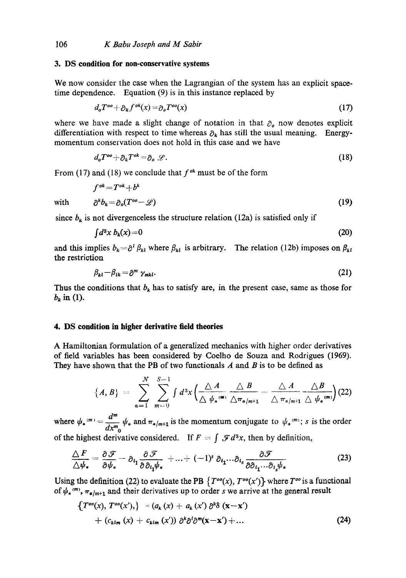#### **3. DS condition for non-conservative systems**

We now consider the case when the Lagrangian of the system has an explicit spacetime dependence. Equation (9) is in this instance replaced by

$$
d_o T^{oo} + \partial_k f^{ok}(x) = \partial_o T^{oo}(x) \tag{17}
$$

where we have made a slight change of notation in that  $\partial_{\theta}$  now denotes explicit differentiation with respect to time whereas  $\partial_k$  has still the usual meaning. Energymomentum conservation does not hold in this case and we have

$$
d_o T^{oo} + \partial_k T^{ok} = \partial_o \mathscr{L}.
$$
 (18)

From (17) and (18) we conclude that  $f^{ok}$  must be of the form

$$
f^{ok} = T^{ok} + b^k
$$

with 
$$
\partial^k b_k = \partial_o(T^{oo} - \mathscr{L})
$$
 (19)

since  $b_k$  is not divergenceless the structure relation (12a) is satisfied only if

$$
\int d^3x \, b_k(x) = 0 \tag{20}
$$

and this implies  $b_k = \partial^l \beta_{kl}$  where  $\beta_{kl}$  is arbitrary. The relation (12b) imposes on  $\beta_{kl}$ the restriction

$$
\beta_{kl} - \beta_{lk} = \partial^m \gamma_{mkl}.
$$
 (21)

Thus the conditions that  $b_k$  has to satisfy are, in the present case, same as those for  $b_k$  in (1).

## **4. DS condition in higher derivative field theories**

A Hamiltonian formulation of a generalized mechanics with higher order derivatives of field variables has been considered by Coelho de Souza and Rodrigues (1969). They have shown that the PB of two functionals  $A$  and  $B$  is to be defined as

$$
\{A,B\} = \sum_{\alpha=1}^N \sum_{m=0}^{S-1} \int d^3x \left( \frac{\triangle A}{\triangle \psi_{\alpha}^{(\mathfrak{m})}} \frac{\triangle B}{\triangle \pi_{\alpha/m+1}} - \frac{\triangle A}{\triangle \pi_{\alpha/m+1}} \frac{\triangle B}{\triangle \psi_{\alpha}^{(\mathfrak{m})}} \right) (22)
$$

 $d^m$ where  $\psi_a^{(m)} = \frac{1}{m} \psi_a$  and  $\pi_{a/m+1}$  is the momentum conjugate to  $\psi_a^{(m)}$ ; s is the order of the highest derivative considered. If  $F = \int \mathcal{F} d^3x$ , then by definition,

$$
\frac{\Delta F}{\Delta \psi_*} = \frac{\partial \mathcal{F}}{\partial \psi_*} - \partial_{t_1} \frac{\partial \mathcal{F}}{\partial \partial_{t_1} \psi_*} + \ldots + (-1)^s \partial_{t_1} \ldots \partial_{t_s} \frac{\partial \mathcal{F}}{\partial \partial_{t_1} \ldots \partial_{t_s} \psi_*}
$$
(23)

Using the definition (22) to evaluate the PB  $\{T^{\circ\circ}(x), T^{\circ\circ}(x')\}$  where  $T^{\circ\circ}$  is a functional of  $\psi_{\star}^{(m)}$ ,  $\pi_{\star/m+1}$  and their derivatives up to order s we arrive at the general result

$$
\begin{aligned}\n\left\{T^{oo}(x),\,T^{oo}(x'),\right\} &= (a_k\,(x) + a_k\,(x')\,\partial^k\delta\,(\mathbf{x}-\mathbf{x}')\\
&\quad + (c_{klm}\,(x) + c_{klm}\,(x'))\,\partial^k\partial^l\partial^m(\mathbf{x}-\mathbf{x}') + \dots\n\end{aligned}\n\tag{24}
$$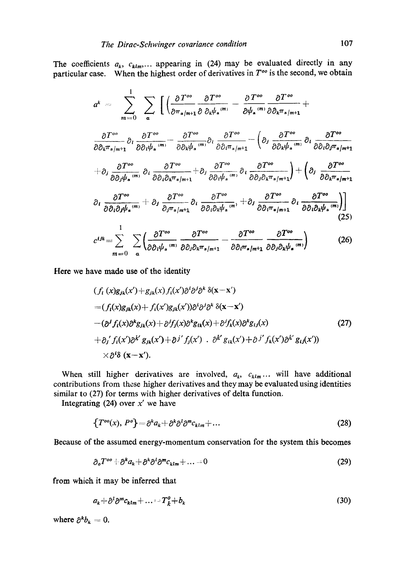The coefficients  $a_k$ ,  $c_{klm}$ ... appearing in (24) may be evaluated directly in any particular case. When the highest order of derivatives in *T °o* is the second, we obtain

$$
a^{k} = \sum_{m=0}^{1} \sum_{\alpha} \left[ \left( \frac{\partial T^{\circ \sigma}}{\partial \pi_{\alpha/m+1}} \frac{\partial T^{\circ \sigma}}{\partial \partial_{k} \psi_{\alpha}} - \frac{\partial T^{\circ \sigma}}{\partial \psi_{\alpha}} \frac{\partial T^{\circ \sigma}}{\partial \partial_{k} \pi_{\alpha/m+1}} + \right. \\
\frac{\partial T^{\circ \sigma}}{\partial \partial_{k} \pi_{\alpha/m+1}} \partial_{l} \frac{\partial T^{\circ \sigma}}{\partial \partial_{l} \psi_{\alpha}} - \frac{\partial T^{\circ \sigma}}{\partial \partial_{k} \psi_{\alpha}} \partial_{l} \frac{\partial T^{\circ \sigma}}{\partial \partial_{l} \pi_{\alpha/m+1}} - \left( \partial_{j} \frac{\partial T^{\circ \sigma}}{\partial \partial_{k} \psi_{\alpha}} \frac{\partial T^{\circ \sigma}}{\partial \partial_{l} \partial_{j} \pi_{\alpha/m+1}} + \partial_{j} \frac{\partial T^{\circ \sigma}}{\partial \partial_{j} \psi_{\alpha}} \right] + \partial_{j} \frac{\partial T^{\circ \sigma}}{\partial \partial_{l} \psi_{\alpha}} \partial_{l} \frac{\partial T^{\circ \sigma}}{\partial \partial_{l} \partial_{k} \pi_{\alpha/m+1}} + \partial_{j} \frac{\partial T^{\circ \sigma}}{\partial \partial_{l} \psi_{\alpha}} \partial_{l} \frac{\partial T^{\circ \sigma}}{\partial \partial_{j} \partial_{k} \pi_{\alpha/m+1}} + \left( \partial_{j} \frac{\partial T^{\circ \sigma}}{\partial \partial_{k} \pi_{\alpha/m+1}} \right) + \left( \partial_{j} \frac{\partial T^{\circ \sigma}}{\partial \partial_{k} \pi_{\alpha/m+1}} \right) + \partial_{l} \frac{\partial T^{\circ \sigma}}{\partial \partial_{l} \partial_{k} \psi_{\alpha}} \partial_{l} \frac{\partial T^{\circ \sigma}}{\partial \partial_{k} \pi_{\alpha/m+1}} + \partial_{j} \frac{\partial T^{\circ \sigma}}{\partial \partial_{l} \partial_{k} \psi_{\alpha}} \partial_{l} \frac{\partial T^{\circ \sigma}}{\partial \partial_{l} \pi_{\alpha/m+1}} + \partial_{l} \frac{\partial T^{\circ \sigma}}{\partial \partial_{l} \partial_{k} \psi_{\alpha}} \partial_{l} \frac{\partial T^{\circ \sigma}}{\partial \partial_{l} \partial_{k} \psi_{\alpha}} \partial_{l} \frac{\
$$

$$
c^{ijk} = \sum_{m=0}^{\infty} \sum_{a} \left( \frac{\partial T^{oo}}{\partial \partial_i \psi_a^{(m)}} \frac{\partial T^{oo}}{\partial \partial_j \partial_k \pi_{a/m+1}} - \frac{\partial T^{oo}}{\partial \partial_i \pi_{a/m+1}} \frac{\partial T^{oo}}{\partial \partial_j \partial_k \psi_a^{(m)}} \right)
$$
(26)

Here we have made use of the identity

$$
(f_i(x)g_{jk}(x') + g_{jk}(x)f_i(x')\partial^i\partial^j\partial^k\delta(x-x')
$$
  
=  $(f_i(x)g_{jk}(x) + f_i(x')g_{jk}(x'))\partial^i\partial^j\partial^k\delta(x-x')$   
 $-(\partial^j f_i(x)\partial^k g_{jk}(x) + \partial^j f_j(x)\partial^k g_{ik}(x) + \partial^j f_k(x)\partial^k g_{ij}(x)$   
+  $\partial_j' f_i(x')\partial^{k'} g_{jk}(x') + \partial_j' f_j(x') \cdot \partial^{k'} g_{ik}(x') + \partial_j' f_k(x')\partial^{k'} g_{ij}(x'))$   
 $\times \partial^i \delta(x-x').$  (27)

When still higher derivatives are involved,  $a_k$ ,  $c_{klm}$ ... will have additional contributions from these higher derivatives and they may be evaluated using identities similar to (27) for terms with higher derivatives of delta function.

Integrating  $(24)$  over x' we have

$$
\{T^{oo}(x), P^o\} = \partial^k a_k + \partial^k \partial^l \partial^m c_{klm} + \dots \tag{28}
$$

Because of the assumed energy-momentum conservation for the system this becomes

$$
\partial_o T^{oo} + \partial^k a_k + \partial^k \partial^l \partial^m c_{klm} + \dots = 0 \tag{29}
$$

from which it may be inferred that

 $a_k + \partial^l \partial^m c_{klm} + \ldots = T_k^o + b_k$  (30)

where  $\partial^k b_k = 0$ .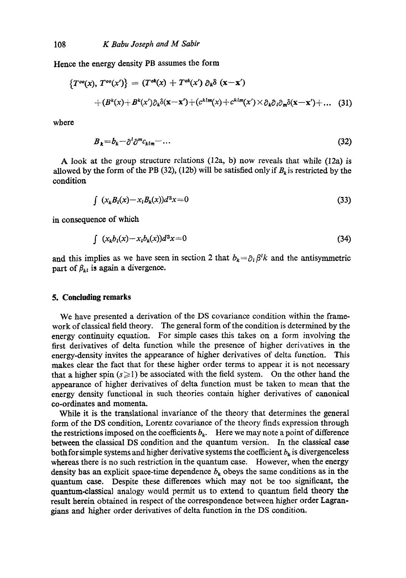Hence the energy density PB assumes the form

$$
\begin{aligned} \{T^{oo}(x),\,T^{oo}(x')\} &= (T^{ok}(x) + T^{ok}(x')\,\partial_k\delta\left(\mathbf{x} - \mathbf{x}'\right) \\ &\quad + (B^k(x) + B^k(x')\partial_k\delta(\mathbf{x} - \mathbf{x}') + (c^{klm}(x) + c^{klm}(x') \times \partial_k\partial_l\partial_m\delta(\mathbf{x} - \mathbf{x}') + \dots \end{aligned} \tag{31}
$$

wbere

$$
B_{k} = b_{k} - \partial^{l} \partial^{m} c_{k l m} - \dots \tag{32}
$$

A look at the group structure relations (12a, b) now reveals that while (12a) is allowed by the form of the PB (32), (12b) will be satisfied only if  $B_k$  is restricted by the condition

$$
\int (x_k B_l(x) - x_l B_k(x))d^3x = 0 \tag{33}
$$

in consequence of which

$$
\int (x_k b_i(x) - x_i b_k(x))d^3x = 0 \tag{34}
$$

and this implies as we have seen in section 2 that  $b_k = \partial_i \beta^l k$  and the antisymmetric part of  $\beta_{kl}$  is again a divergence.

## **5. Concluding remarks**

We have presented a derivation of the DS covariance condition within the framework of classical field theory. The general form of the condition is determined by the energy continuity equation. For simple cases this takes on a form involving the first derivatives of delta function while the presence of higher derivatives in the energy-density invites the appearance of higher derivatives of delta function. This makes clear the fact that for these higher order terms to appear it is not necessary that a higher spin  $(s \ge 1)$  be associated with the field system. On the other hand the appearance of higher derivatives of delta function must be taken to mean that the energy density functional in such theories contain higher derivatives of canonical co-ordinates and momenta.

While it is the translational invariance of the theory that determines the general form of the DS *condition,* Lorentz covariance of the theory finds expression through the restrictions imposed on the coefficients  $b_k$ . Here we may note a point of difference between the classical DS condition and the quantum version. In the classical case both for simple systems and higher derivative systems the coefficient  $b_k$  is divergenceless whereas there is no such restriction in the quantum case. However, when the energy density has an explicit space-time dependence  $b_k$  obeys the same conditions as in the quantum case. Despite these differences which may not be too significant, the quantum-classical analogy would permit us to extend to quantum field theory the result herein obtained in respect of the correspondence between higher order Lagrangians and higher order derivatives of delta function in the DS condition.